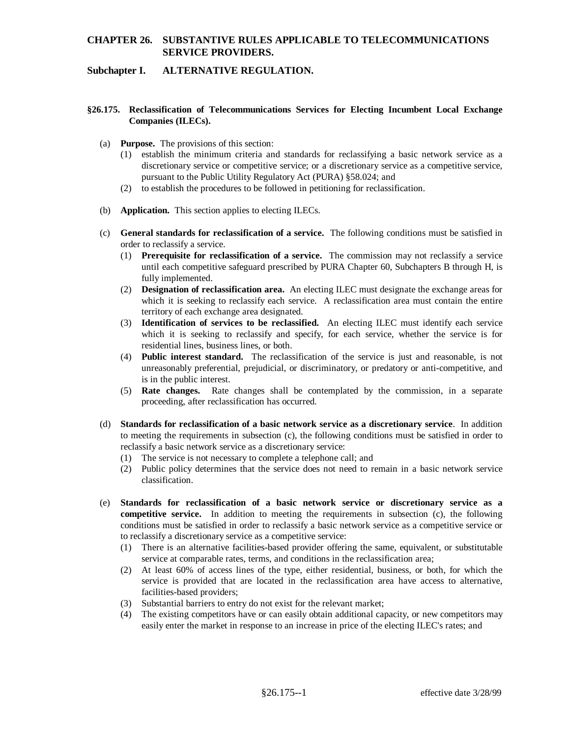## **CHAPTER 26. SUBSTANTIVE RULES APPLICABLE TO TELECOMMUNICATIONS SERVICE PROVIDERS.**

## **Subchapter I. ALTERNATIVE REGULATION.**

## **§26.175. Reclassification of Telecommunications Services for Electing Incumbent Local Exchange Companies (ILECs).**

- (a) **Purpose.** The provisions of this section:
	- (1) establish the minimum criteria and standards for reclassifying a basic network service as a discretionary service or competitive service; or a discretionary service as a competitive service, pursuant to the Public Utility Regulatory Act (PURA) §58.024; and
	- (2) to establish the procedures to be followed in petitioning for reclassification.
- (b) **Application.** This section applies to electing ILECs.
- (c) **General standards for reclassification of a service.** The following conditions must be satisfied in order to reclassify a service.
	- (1) **Prerequisite for reclassification of a service.** The commission may not reclassify a service until each competitive safeguard prescribed by PURA Chapter 60, Subchapters B through H, is fully implemented.
	- (2) **Designation of reclassification area.** An electing ILEC must designate the exchange areas for which it is seeking to reclassify each service. A reclassification area must contain the entire territory of each exchange area designated.
	- (3) **Identification of services to be reclassified.** An electing ILEC must identify each service which it is seeking to reclassify and specify, for each service, whether the service is for residential lines, business lines, or both.
	- (4) **Public interest standard.** The reclassification of the service is just and reasonable, is not unreasonably preferential, prejudicial, or discriminatory, or predatory or anti-competitive, and is in the public interest.
	- (5) **Rate changes.** Rate changes shall be contemplated by the commission, in a separate proceeding, after reclassification has occurred.
- (d) **Standards for reclassification of a basic network service as a discretionary service**. In addition to meeting the requirements in subsection (c), the following conditions must be satisfied in order to reclassify a basic network service as a discretionary service:
	- (1) The service is not necessary to complete a telephone call; and
	- (2) Public policy determines that the service does not need to remain in a basic network service classification.
- (e) **Standards for reclassification of a basic network service or discretionary service as a competitive service.** In addition to meeting the requirements in subsection (c), the following conditions must be satisfied in order to reclassify a basic network service as a competitive service or to reclassify a discretionary service as a competitive service:
	- (1) There is an alternative facilities-based provider offering the same, equivalent, or substitutable service at comparable rates, terms, and conditions in the reclassification area;
	- (2) At least 60% of access lines of the type, either residential, business, or both, for which the service is provided that are located in the reclassification area have access to alternative, facilities-based providers;
	- Substantial barriers to entry do not exist for the relevant market;
	- (4) The existing competitors have or can easily obtain additional capacity, or new competitors may easily enter the market in response to an increase in price of the electing ILEC's rates; and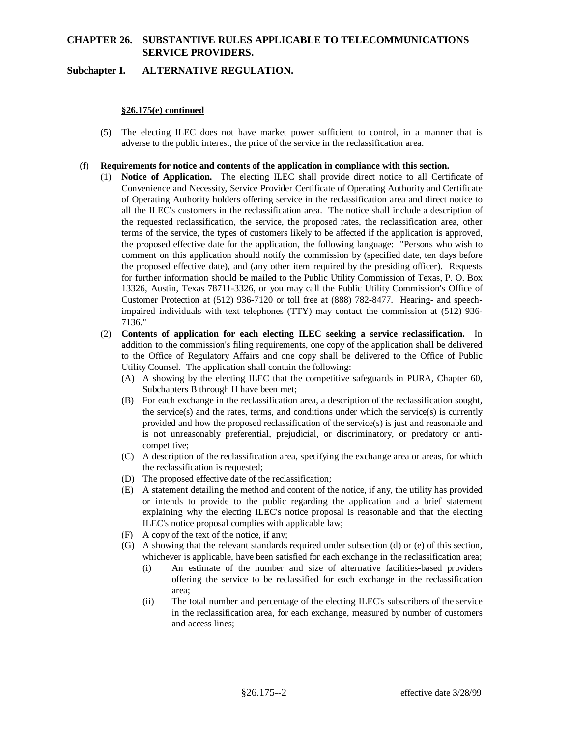# **CHAPTER 26. SUBSTANTIVE RULES APPLICABLE TO TELECOMMUNICATIONS SERVICE PROVIDERS.**

## **Subchapter I. ALTERNATIVE REGULATION.**

### **§26.175(e) continued**

(5) The electing ILEC does not have market power sufficient to control, in a manner that is adverse to the public interest, the price of the service in the reclassification area.

#### (f) **Requirements for notice and contents of the application in compliance with this section.**

- (1) **Notice of Application.** The electing ILEC shall provide direct notice to all Certificate of Convenience and Necessity, Service Provider Certificate of Operating Authority and Certificate of Operating Authority holders offering service in the reclassification area and direct notice to all the ILEC's customers in the reclassification area. The notice shall include a description of the requested reclassification, the service, the proposed rates, the reclassification area, other terms of the service, the types of customers likely to be affected if the application is approved, the proposed effective date for the application, the following language: "Persons who wish to comment on this application should notify the commission by (specified date, ten days before the proposed effective date), and (any other item required by the presiding officer). Requests for further information should be mailed to the Public Utility Commission of Texas, P. O. Box 13326, Austin, Texas 78711-3326, or you may call the Public Utility Commission's Office of Customer Protection at (512) 936-7120 or toll free at (888) 782-8477. Hearing- and speechimpaired individuals with text telephones (TTY) may contact the commission at (512) 936- 7136."
- (2) **Contents of application for each electing ILEC seeking a service reclassification.** In addition to the commission's filing requirements, one copy of the application shall be delivered to the Office of Regulatory Affairs and one copy shall be delivered to the Office of Public Utility Counsel. The application shall contain the following:
	- (A) A showing by the electing ILEC that the competitive safeguards in PURA, Chapter 60, Subchapters B through H have been met;
	- (B) For each exchange in the reclassification area, a description of the reclassification sought, the service(s) and the rates, terms, and conditions under which the service(s) is currently provided and how the proposed reclassification of the service(s) is just and reasonable and is not unreasonably preferential, prejudicial, or discriminatory, or predatory or anticompetitive;
	- (C) A description of the reclassification area, specifying the exchange area or areas, for which the reclassification is requested;
	- (D) The proposed effective date of the reclassification;
	- (E) A statement detailing the method and content of the notice, if any, the utility has provided or intends to provide to the public regarding the application and a brief statement explaining why the electing ILEC's notice proposal is reasonable and that the electing ILEC's notice proposal complies with applicable law;
	- (F) A copy of the text of the notice, if any;
	- (G) A showing that the relevant standards required under subsection (d) or (e) of this section, whichever is applicable, have been satisfied for each exchange in the reclassification area;
		- (i) An estimate of the number and size of alternative facilities-based providers offering the service to be reclassified for each exchange in the reclassification area;
		- (ii) The total number and percentage of the electing ILEC's subscribers of the service in the reclassification area, for each exchange, measured by number of customers and access lines;